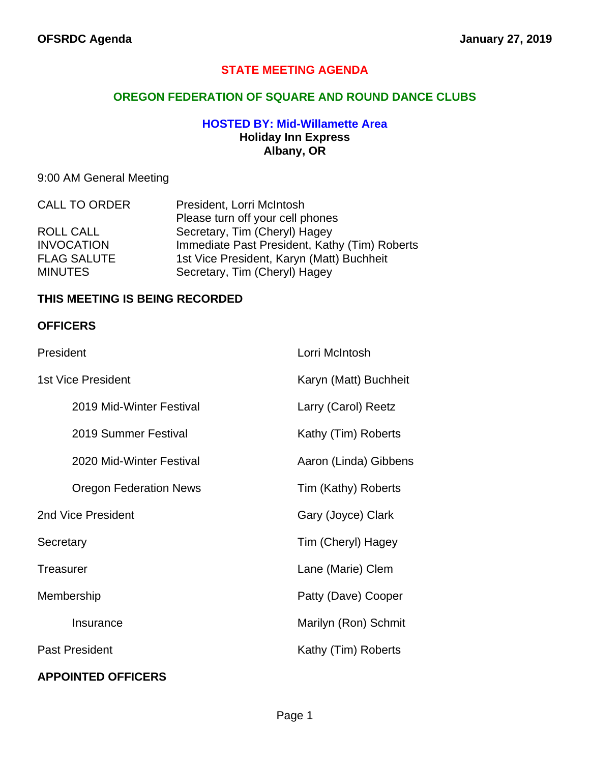## **STATE MEETING AGENDA**

### **OREGON FEDERATION OF SQUARE AND ROUND DANCE CLUBS**

### **HOSTED BY: Mid-Willamette Area Holiday Inn Express Albany, OR**

# 9:00 AM General Meeting

| <b>CALL TO ORDER</b> | President, Lorri McIntosh                     |
|----------------------|-----------------------------------------------|
|                      | Please turn off your cell phones              |
| ROLL CALL            | Secretary, Tim (Cheryl) Hagey                 |
| <b>INVOCATION</b>    | Immediate Past President, Kathy (Tim) Roberts |
| <b>FLAG SALUTE</b>   | 1st Vice President, Karyn (Matt) Buchheit     |
| <b>MINUTES</b>       | Secretary, Tim (Cheryl) Hagey                 |

#### **THIS MEETING IS BEING RECORDED**

#### **OFFICERS**

| President             |                               | Lorri McIntosh        |
|-----------------------|-------------------------------|-----------------------|
| 1st Vice President    |                               | Karyn (Matt) Buchheit |
|                       | 2019 Mid-Winter Festival      | Larry (Carol) Reetz   |
|                       | 2019 Summer Festival          | Kathy (Tim) Roberts   |
|                       | 2020 Mid-Winter Festival      | Aaron (Linda) Gibbens |
|                       | <b>Oregon Federation News</b> | Tim (Kathy) Roberts   |
| 2nd Vice President    |                               | Gary (Joyce) Clark    |
| Secretary             |                               | Tim (Cheryl) Hagey    |
| Treasurer             |                               | Lane (Marie) Clem     |
| Membership            |                               | Patty (Dave) Cooper   |
|                       | Insurance                     | Marilyn (Ron) Schmit  |
| <b>Past President</b> |                               | Kathy (Tim) Roberts   |
|                       |                               |                       |

## **APPOINTED OFFICERS**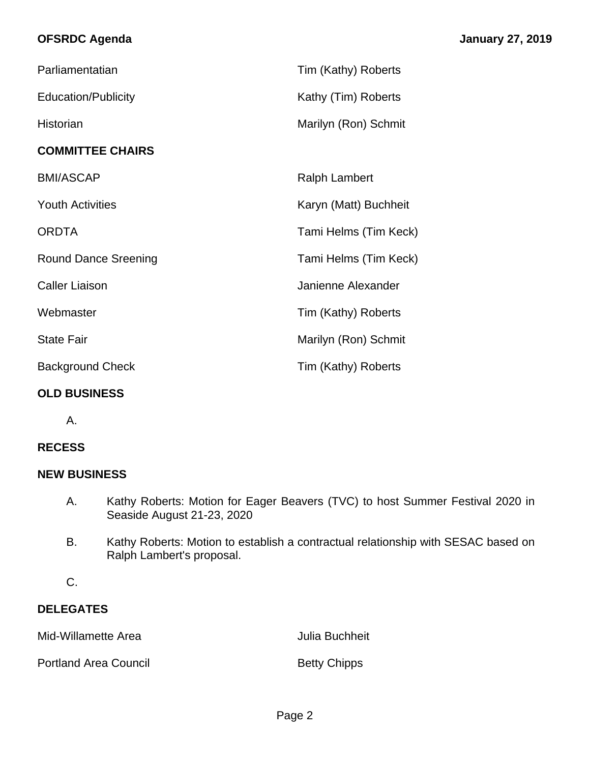# **OFSRDC Agenda January 27, 2019**

| Parliamentatian             | Tim (Kathy) Roberts   |
|-----------------------------|-----------------------|
| <b>Education/Publicity</b>  | Kathy (Tim) Roberts   |
| Historian                   | Marilyn (Ron) Schmit  |
| <b>COMMITTEE CHAIRS</b>     |                       |
| <b>BMI/ASCAP</b>            | <b>Ralph Lambert</b>  |
| <b>Youth Activities</b>     | Karyn (Matt) Buchheit |
| <b>ORDTA</b>                | Tami Helms (Tim Keck) |
| <b>Round Dance Sreening</b> | Tami Helms (Tim Keck) |
| <b>Caller Liaison</b>       | Janienne Alexander    |
| Webmaster                   | Tim (Kathy) Roberts   |
| <b>State Fair</b>           | Marilyn (Ron) Schmit  |
| <b>Background Check</b>     | Tim (Kathy) Roberts   |
|                             |                       |

#### **OLD BUSINESS**

A.

## **RECESS**

#### **NEW BUSINESS**

- A. Kathy Roberts: Motion for Eager Beavers (TVC) to host Summer Festival 2020 in Seaside August 21-23, 2020
- B. Kathy Roberts: Motion to establish a contractual relationship with SESAC based on Ralph Lambert's proposal.
- C.

## **DELEGATES**

Mid-Willamette Area **Julia Buchheit** 

Portland Area Council **Betty Chipps**